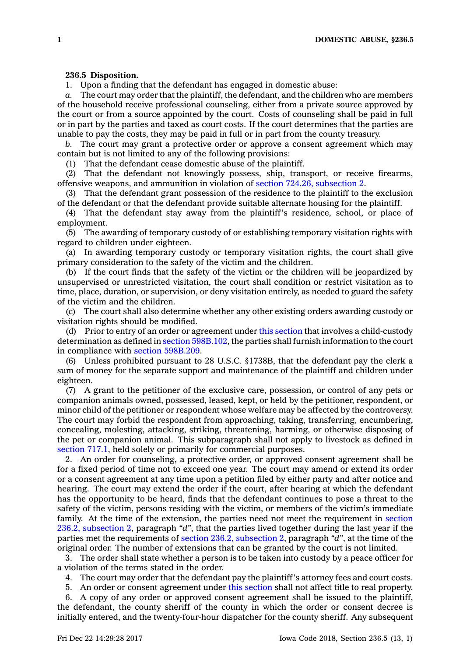## **236.5 Disposition.**

1. Upon <sup>a</sup> finding that the defendant has engaged in domestic abuse:

*a.* The court may order that the plaintiff, the defendant, and the children who are members of the household receive professional counseling, either from <sup>a</sup> private source approved by the court or from <sup>a</sup> source appointed by the court. Costs of counseling shall be paid in full or in part by the parties and taxed as court costs. If the court determines that the parties are unable to pay the costs, they may be paid in full or in part from the county treasury.

*b.* The court may grant <sup>a</sup> protective order or approve <sup>a</sup> consent agreement which may contain but is not limited to any of the following provisions:

(1) That the defendant cease domestic abuse of the plaintiff.

(2) That the defendant not knowingly possess, ship, transport, or receive firearms, offensive weapons, and ammunition in violation of section 724.26, [subsection](https://www.legis.iowa.gov/docs/code/724.26.pdf) 2.

(3) That the defendant grant possession of the residence to the plaintiff to the exclusion of the defendant or that the defendant provide suitable alternate housing for the plaintiff.

(4) That the defendant stay away from the plaintiff's residence, school, or place of employment.

(5) The awarding of temporary custody of or establishing temporary visitation rights with regard to children under eighteen.

(a) In awarding temporary custody or temporary visitation rights, the court shall give primary consideration to the safety of the victim and the children.

(b) If the court finds that the safety of the victim or the children will be jeopardized by unsupervised or unrestricted visitation, the court shall condition or restrict visitation as to time, place, duration, or supervision, or deny visitation entirely, as needed to guard the safety of the victim and the children.

(c) The court shall also determine whether any other existing orders awarding custody or visitation rights should be modified.

(d) Prior to entry of an order or agreement under this [section](https://www.legis.iowa.gov/docs/code/236.5.pdf) that involves <sup>a</sup> child-custody determination as defined in section [598B.102](https://www.legis.iowa.gov/docs/code/598B.102.pdf), the parties shall furnish information to the court in compliance with section [598B.209](https://www.legis.iowa.gov/docs/code/598B.209.pdf).

(6) Unless prohibited pursuant to 28 U.S.C. §1738B, that the defendant pay the clerk <sup>a</sup> sum of money for the separate support and maintenance of the plaintiff and children under eighteen.

(7) A grant to the petitioner of the exclusive care, possession, or control of any pets or companion animals owned, possessed, leased, kept, or held by the petitioner, respondent, or minor child of the petitioner or respondent whose welfare may be affected by the controversy. The court may forbid the respondent from approaching, taking, transferring, encumbering, concealing, molesting, attacking, striking, threatening, harming, or otherwise disposing of the pet or companion animal. This subparagraph shall not apply to livestock as defined in [section](https://www.legis.iowa.gov/docs/code/717.1.pdf) 717.1, held solely or primarily for commercial purposes.

2. An order for counseling, <sup>a</sup> protective order, or approved consent agreement shall be for <sup>a</sup> fixed period of time not to exceed one year. The court may amend or extend its order or <sup>a</sup> consent agreement at any time upon <sup>a</sup> petition filed by either party and after notice and hearing. The court may extend the order if the court, after hearing at which the defendant has the opportunity to be heard, finds that the defendant continues to pose <sup>a</sup> threat to the safety of the victim, persons residing with the victim, or members of the victim's immediate family. At the time of the extension, the parties need not meet the requirement in [section](https://www.legis.iowa.gov/docs/code/236.2.pdf) 236.2, [subsection](https://www.legis.iowa.gov/docs/code/236.2.pdf) 2, paragraph *"d"*, that the parties lived together during the last year if the parties met the requirements of section 236.2, [subsection](https://www.legis.iowa.gov/docs/code/236.2.pdf) 2, paragraph *"d"*, at the time of the original order. The number of extensions that can be granted by the court is not limited.

3. The order shall state whether <sup>a</sup> person is to be taken into custody by <sup>a</sup> peace officer for <sup>a</sup> violation of the terms stated in the order.

4. The court may order that the defendant pay the plaintiff's attorney fees and court costs.

5. An order or consent agreement under this [section](https://www.legis.iowa.gov/docs/code/236.5.pdf) shall not affect title to real property.

6. A copy of any order or approved consent agreement shall be issued to the plaintiff, the defendant, the county sheriff of the county in which the order or consent decree is initially entered, and the twenty-four-hour dispatcher for the county sheriff. Any subsequent